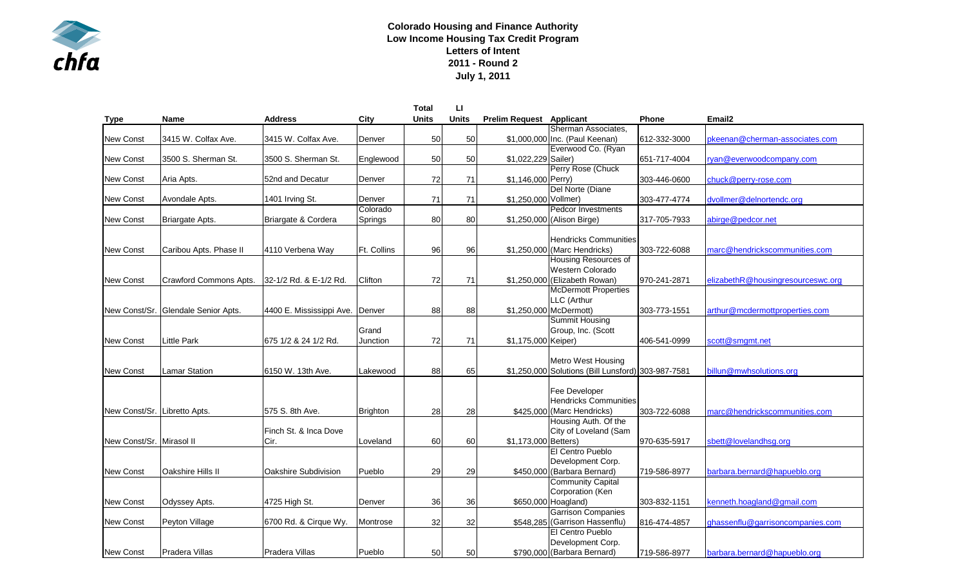

## **Colorado Housing and Finance Authority Low Income Housing Tax Credit Program Letters of Intent 2011 - Round 2 July 1, 2011**

|                              |                                     |                                 |                 | <b>Total</b> | п            |                                 |                                                    |              |                                   |
|------------------------------|-------------------------------------|---------------------------------|-----------------|--------------|--------------|---------------------------------|----------------------------------------------------|--------------|-----------------------------------|
| <b>Type</b>                  | <b>Name</b>                         | <b>Address</b>                  | City            | <b>Units</b> | <b>Units</b> | <b>Prelim Request Applicant</b> |                                                    | <b>Phone</b> | Email <sub>2</sub>                |
|                              |                                     |                                 |                 |              |              |                                 | Sherman Associates,                                |              |                                   |
| New Const                    | 3415 W. Colfax Ave.                 | 3415 W. Colfax Ave.             | Denver          | 50           | 50           |                                 | \$1,000,000 Inc. (Paul Keenan)                     | 612-332-3000 | pkeenan@cherman-associates.com    |
|                              |                                     |                                 |                 |              |              |                                 | Everwood Co. (Ryan                                 |              |                                   |
| New Const                    | 3500 S. Sherman St.                 | 3500 S. Sherman St.             | Englewood       | 50           | 50           | \$1,022,229 Sailer)             |                                                    | 651-717-4004 | ryan@everwoodcompany.com          |
|                              |                                     |                                 |                 |              |              |                                 | Perry Rose (Chuck                                  |              |                                   |
| <b>New Const</b>             | Aria Apts.                          | 52nd and Decatur                | Denver          | 72           | 71           | \$1,146,000 Perry)              |                                                    | 303-446-0600 | chuck@perry-rose.com              |
|                              |                                     |                                 |                 |              |              |                                 | Del Norte (Diane                                   |              |                                   |
| New Const                    | Avondale Apts.                      | 1401 Irving St.                 | Denver          | 71           | 71           | \$1,250,000 Vollmer)            |                                                    | 303-477-4774 | dvollmer@delnortendc.org          |
|                              |                                     |                                 | Colorado        |              |              |                                 | <b>Pedcor Investments</b>                          |              |                                   |
| New Const                    | Briargate Apts.                     | Briargate & Cordera             | Springs         | 80           | 80           |                                 | \$1,250,000 (Alison Birge)                         | 317-705-7933 | abirge@pedcor.net                 |
|                              |                                     |                                 |                 |              |              |                                 |                                                    |              |                                   |
|                              |                                     |                                 |                 |              |              |                                 | <b>Hendricks Communities</b>                       |              |                                   |
| <b>New Const</b>             | Caribou Apts. Phase II              | 4110 Verbena Way                | Ft. Collins     | 96           | 96           |                                 | \$1,250,000 (Marc Hendricks)                       | 303-722-6088 | marc@hendrickscommunities.com     |
|                              |                                     |                                 |                 |              |              |                                 | Housing Resources of                               |              |                                   |
|                              |                                     |                                 |                 |              |              |                                 | Western Colorado                                   |              |                                   |
| <b>New Const</b>             | Crawford Commons Apts.              | 32-1/2 Rd. & E-1/2 Rd.          | Clifton         | 72           | 71           |                                 | \$1,250,000 (Elizabeth Rowan)                      | 970-241-2871 | elizabethR@housingresourceswc.org |
|                              |                                     |                                 |                 |              |              |                                 | <b>McDermott Properties</b>                        |              |                                   |
|                              |                                     |                                 |                 |              |              |                                 | LLC (Arthur                                        |              |                                   |
|                              | New Const/Sr. Glendale Senior Apts. | 4400 E. Mississippi Ave. Denver |                 | 88           | 88           |                                 | \$1,250,000 McDermott)                             | 303-773-1551 | arthur@mcdermottproperties.com    |
|                              |                                     |                                 |                 |              |              |                                 | <b>Summit Housing</b>                              |              |                                   |
|                              |                                     |                                 | Grand           |              |              |                                 | Group, Inc. (Scott                                 |              |                                   |
| <b>New Const</b>             | Little Park                         | 675 1/2 & 24 1/2 Rd.            | Junction        | 72           | 71           | \$1,175,000 Keiper)             |                                                    | 406-541-0999 | scott@smgmt.net                   |
|                              |                                     |                                 |                 |              |              |                                 |                                                    |              |                                   |
|                              |                                     |                                 |                 |              |              |                                 | <b>Metro West Housing</b>                          |              |                                   |
| <b>New Const</b>             | Lamar Station                       | 6150 W. 13th Ave.               | Lakewood        | 88           | 65           |                                 | \$1,250,000 Solutions (Bill Lunsford) 303-987-7581 |              | billun@mwhsolutions.org           |
|                              |                                     |                                 |                 |              |              |                                 |                                                    |              |                                   |
|                              |                                     |                                 |                 |              |              |                                 | Fee Developer                                      |              |                                   |
|                              |                                     |                                 |                 |              |              |                                 | <b>Hendricks Communities</b>                       |              |                                   |
| New Const/Sr. Libretto Apts. |                                     | 575 S. 8th Ave.                 | <b>Brighton</b> | 28           | 28           |                                 | \$425,000 (Marc Hendricks)                         | 303-722-6088 | marc@hendrickscommunities.com     |
|                              |                                     |                                 |                 |              |              |                                 | Housing Auth. Of the                               |              |                                   |
|                              |                                     | Finch St. & Inca Dove           |                 |              |              |                                 | City of Loveland (Sam                              |              |                                   |
| New Const/Sr. Mirasol II     |                                     | Cir.                            | Loveland        | 60           | 60           | \$1,173,000 Betters)            |                                                    | 970-635-5917 | sbett@lovelandhsg.org             |
|                              |                                     |                                 |                 |              |              |                                 | El Centro Pueblo                                   |              |                                   |
|                              |                                     |                                 |                 |              |              |                                 | Development Corp.                                  |              |                                   |
| New Const                    | Oakshire Hills II                   | Oakshire Subdivision            | Pueblo          | 29           | 29           |                                 | \$450,000 (Barbara Bernard)                        | 719-586-8977 | barbara.bernard@hapueblo.org      |
|                              |                                     |                                 |                 |              |              |                                 | <b>Community Capital</b>                           |              |                                   |
|                              |                                     |                                 |                 |              |              |                                 | Corporation (Ken                                   |              |                                   |
| New Const                    | Odyssey Apts.                       | 4725 High St.                   | Denver          | 36           | 36           |                                 | \$650,000 Hoagland)                                | 303-832-1151 | kenneth.hoagland@gmail.com        |
|                              |                                     |                                 |                 |              |              |                                 | <b>Garrison Companies</b>                          |              |                                   |
| <b>New Const</b>             | Peyton Village                      | 6700 Rd. & Cirque Wy.           | Montrose        | 32           | 32           |                                 | \$548,285 (Garrison Hassenflu)                     | 816-474-4857 | ghassenflu@garrisoncompanies.com  |
|                              |                                     |                                 |                 |              |              |                                 | El Centro Pueblo                                   |              |                                   |
|                              |                                     |                                 |                 |              |              |                                 | Development Corp.                                  |              |                                   |
| <b>New Const</b>             | Pradera Villas                      | Pradera Villas                  | Pueblo          | 50           | 50           |                                 | \$790,000 (Barbara Bernard)                        | 719-586-8977 | barbara.bernard@hapueblo.org      |